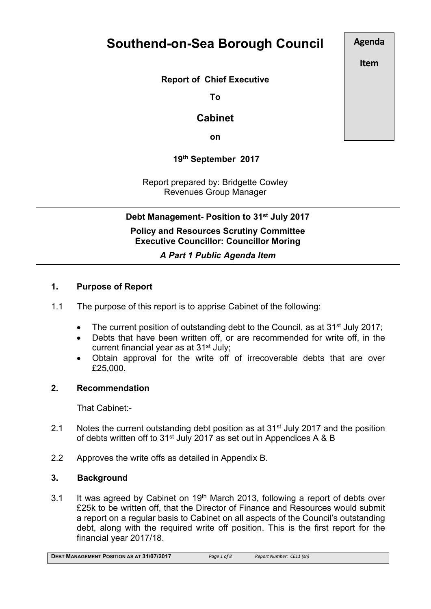# **Southend-on-Sea Borough Council**

**Agenda**

**Item**

## **Report of Chief Executive**

**To**

## **Cabinet**

**on**

**19th September 2017**

Report prepared by: Bridgette Cowley Revenues Group Manager

**Debt Management- Position to 31st July 2017 Policy and Resources Scrutiny Committee Executive Councillor: Councillor Moring**

## *A Part 1 Public Agenda Item*

## **1. Purpose of Report**

- 1.1 The purpose of this report is to apprise Cabinet of the following:
	- The current position of outstanding debt to the Council, as at  $31^{st}$  July 2017;
	- Debts that have been written off, or are recommended for write off, in the current financial year as at 31st July;
	- Obtain approval for the write off of irrecoverable debts that are over £25,000.

## **2. Recommendation**

That Cabinet:-

- 2.1 Notes the current outstanding debt position as at 31<sup>st</sup> July 2017 and the position of debts written off to 31<sup>st</sup> July 2017 as set out in Appendices A & B
- 2.2 Approves the write offs as detailed in Appendix B.

## **3. Background**

3.1 It was agreed by Cabinet on 19<sup>th</sup> March 2013, following a report of debts over £25k to be written off, that the Director of Finance and Resources would submit a report on a regular basis to Cabinet on all aspects of the Council's outstanding debt, along with the required write off position. This is the first report for the financial year 2017/18.

**DEBT MANAGEMENT POSITION AS AT 31/07/2017** *Page 1 of 8 Report Number: CE11 (sn)*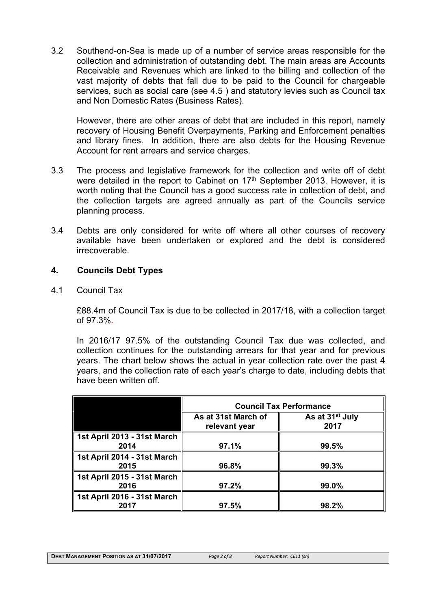3.2 Southend-on-Sea is made up of a number of service areas responsible for the collection and administration of outstanding debt. The main areas are Accounts Receivable and Revenues which are linked to the billing and collection of the vast majority of debts that fall due to be paid to the Council for chargeable services, such as social care (see 4.5 ) and statutory levies such as Council tax and Non Domestic Rates (Business Rates).

However, there are other areas of debt that are included in this report, namely recovery of Housing Benefit Overpayments, Parking and Enforcement penalties and library fines. In addition, there are also debts for the Housing Revenue Account for rent arrears and service charges.

- 3.3 The process and legislative framework for the collection and write off of debt were detailed in the report to Cabinet on 17<sup>th</sup> September 2013. However, it is worth noting that the Council has a good success rate in collection of debt, and the collection targets are agreed annually as part of the Councils service planning process.
- 3.4 Debts are only considered for write off where all other courses of recovery available have been undertaken or explored and the debt is considered irrecoverable.

## **4. Councils Debt Types**

4.1 Council Tax

£88.4m of Council Tax is due to be collected in 2017/18, with a collection target of 97.3%.

In 2016/17 97.5% of the outstanding Council Tax due was collected, and collection continues for the outstanding arrears for that year and for previous years. The chart below shows the actual in year collection rate over the past 4 years, and the collection rate of each year's charge to date, including debts that have been written off.

|                                     | <b>Council Tax Performance</b>       |                                     |
|-------------------------------------|--------------------------------------|-------------------------------------|
|                                     | As at 31st March of<br>relevant year | As at 31 <sup>st</sup> July<br>2017 |
| 1st April 2013 - 31st March<br>2014 | 97.1%                                | 99.5%                               |
| 1st April 2014 - 31st March<br>2015 | 96.8%                                | 99.3%                               |
| 1st April 2015 - 31st March<br>2016 | 97.2%                                | 99.0%                               |
| 1st April 2016 - 31st March<br>2017 | 97.5%                                | 98.2%                               |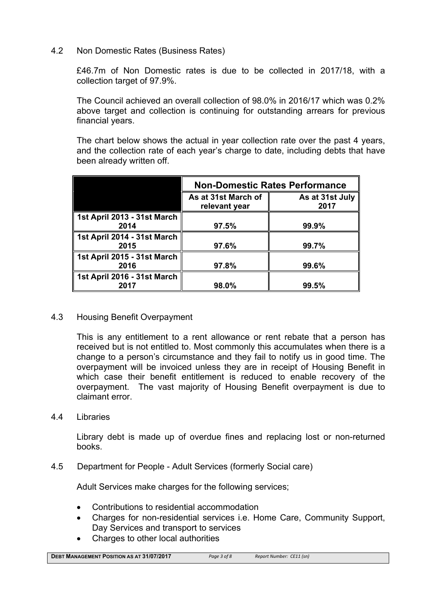4.2 Non Domestic Rates (Business Rates)

£46.7m of Non Domestic rates is due to be collected in 2017/18, with a collection target of 97.9%.

The Council achieved an overall collection of 98.0% in 2016/17 which was 0.2% above target and collection is continuing for outstanding arrears for previous financial years.

The chart below shows the actual in year collection rate over the past 4 years, and the collection rate of each year's charge to date, including debts that have been already written off.

|                             | <b>Non-Domestic Rates Performance</b> |                         |
|-----------------------------|---------------------------------------|-------------------------|
|                             | As at 31st March of<br>relevant year  | As at 31st July<br>2017 |
| 1st April 2013 - 31st March |                                       |                         |
| 2014                        | 97.5%                                 | 99.9%                   |
| 1st April 2014 - 31st March |                                       |                         |
| 2015                        | 97.6%                                 | 99.7%                   |
| 1st April 2015 - 31st March |                                       |                         |
| 2016                        | 97.8%                                 | 99.6%                   |
| 1st April 2016 - 31st March |                                       |                         |
| 2017                        | 98.0%                                 | 99.5%                   |

## 4.3 Housing Benefit Overpayment

This is any entitlement to a rent allowance or rent rebate that a person has received but is not entitled to. Most commonly this accumulates when there is a change to a person's circumstance and they fail to notify us in good time. The overpayment will be invoiced unless they are in receipt of Housing Benefit in which case their benefit entitlement is reduced to enable recovery of the overpayment. The vast majority of Housing Benefit overpayment is due to claimant error.

4.4 Libraries

Library debt is made up of overdue fines and replacing lost or non-returned books.

4.5 Department for People - Adult Services (formerly Social care)

Adult Services make charges for the following services;

- Contributions to residential accommodation
- Charges for non-residential services i.e. Home Care, Community Support, Day Services and transport to services
- Charges to other local authorities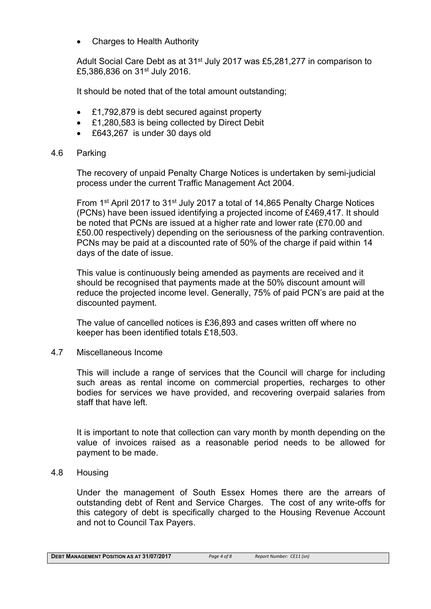Charges to Health Authority

Adult Social Care Debt as at 31st July 2017 was £5,281,277 in comparison to £5,386,836 on 31st July 2016.

It should be noted that of the total amount outstanding;

- £1,792,879 is debt secured against property
- £1,280,583 is being collected by Direct Debit
- £643,267 is under 30 days old

#### 4.6 Parking

The recovery of unpaid Penalty Charge Notices is undertaken by semi-judicial process under the current Traffic Management Act 2004.

From 1<sup>st</sup> April 2017 to 31<sup>st</sup> July 2017 a total of 14,865 Penalty Charge Notices (PCNs) have been issued identifying a projected income of £469,417. It should be noted that PCNs are issued at a higher rate and lower rate (£70.00 and £50.00 respectively) depending on the seriousness of the parking contravention. PCNs may be paid at a discounted rate of 50% of the charge if paid within 14 days of the date of issue.

This value is continuously being amended as payments are received and it should be recognised that payments made at the 50% discount amount will reduce the projected income level. Generally, 75% of paid PCN's are paid at the discounted payment.

The value of cancelled notices is £36,893 and cases written off where no keeper has been identified totals £18,503.

4.7 Miscellaneous Income

This will include a range of services that the Council will charge for including such areas as rental income on commercial properties, recharges to other bodies for services we have provided, and recovering overpaid salaries from staff that have left.

It is important to note that collection can vary month by month depending on the value of invoices raised as a reasonable period needs to be allowed for payment to be made.

## 4.8 Housing

Under the management of South Essex Homes there are the arrears of outstanding debt of Rent and Service Charges. The cost of any write-offs for this category of debt is specifically charged to the Housing Revenue Account and not to Council Tax Payers.

**DEBT MANAGEMENT POSITION AS AT 31/07/2017** *Page 4 of 8 Report Number: CE11 (sn)*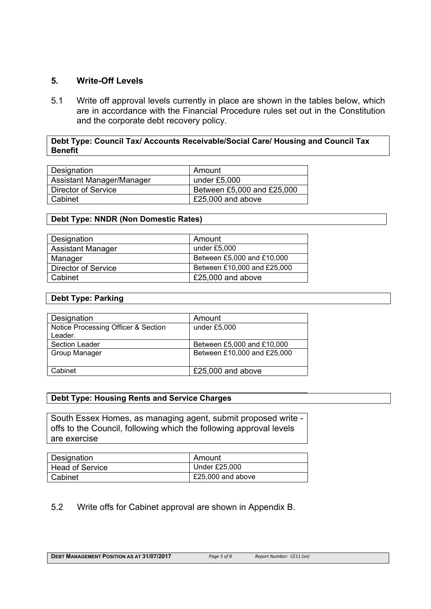## **5. Write-Off Levels**

5.1 Write off approval levels currently in place are shown in the tables below, which are in accordance with the Financial Procedure rules set out in the Constitution and the corporate debt recovery policy.

#### **Debt Type: Council Tax/ Accounts Receivable/Social Care/ Housing and Council Tax Benefit**

| Designation               | Amount                     |
|---------------------------|----------------------------|
| Assistant Manager/Manager | under £5,000               |
| Director of Service       | Between £5,000 and £25,000 |
| Cabinet                   | £25,000 and above          |

#### **Debt Type: NNDR (Non Domestic Rates)**

| Designation                | Amount                      |
|----------------------------|-----------------------------|
| <b>Assistant Manager</b>   | under £5,000                |
| Manager                    | Between £5,000 and £10,000  |
| <b>Director of Service</b> | Between £10,000 and £25,000 |
| Cabinet                    | £25,000 and above           |

#### **Debt Type: Parking**

| Designation                         | Amount                      |
|-------------------------------------|-----------------------------|
| Notice Processing Officer & Section | under £5,000                |
| Leader.                             |                             |
| <b>Section Leader</b>               | Between £5,000 and £10,000  |
| Group Manager                       | Between £10,000 and £25,000 |
|                                     |                             |
| Cabinet                             | £25,000 and above           |

## **Debt Type: Housing Rents and Service Charges**

South Essex Homes, as managing agent, submit proposed write offs to the Council, following which the following approval levels are exercise

| Designation            | Amount            |
|------------------------|-------------------|
| <b>Head of Service</b> | Under £25,000     |
| Cabinet                | £25,000 and above |

## 5.2 Write offs for Cabinet approval are shown in Appendix B.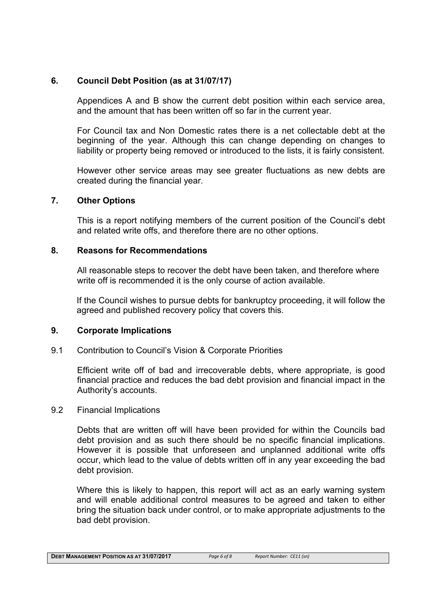## **6. Council Debt Position (as at 31/07/17)**

Appendices A and B show the current debt position within each service area, and the amount that has been written off so far in the current year.

For Council tax and Non Domestic rates there is a net collectable debt at the beginning of the year. Although this can change depending on changes to liability or property being removed or introduced to the lists, it is fairly consistent.

However other service areas may see greater fluctuations as new debts are created during the financial year.

#### **7. Other Options**

This is a report notifying members of the current position of the Council's debt and related write offs, and therefore there are no other options.

#### **8. Reasons for Recommendations**

All reasonable steps to recover the debt have been taken, and therefore where write off is recommended it is the only course of action available.

If the Council wishes to pursue debts for bankruptcy proceeding, it will follow the agreed and published recovery policy that covers this.

#### **9. Corporate Implications**

#### 9.1 Contribution to Council's Vision & Corporate Priorities

Efficient write off of bad and irrecoverable debts, where appropriate, is good financial practice and reduces the bad debt provision and financial impact in the Authority's accounts.

#### 9.2 Financial Implications

Debts that are written off will have been provided for within the Councils bad debt provision and as such there should be no specific financial implications. However it is possible that unforeseen and unplanned additional write offs occur, which lead to the value of debts written off in any year exceeding the bad debt provision.

Where this is likely to happen, this report will act as an early warning system and will enable additional control measures to be agreed and taken to either bring the situation back under control, or to make appropriate adjustments to the bad debt provision.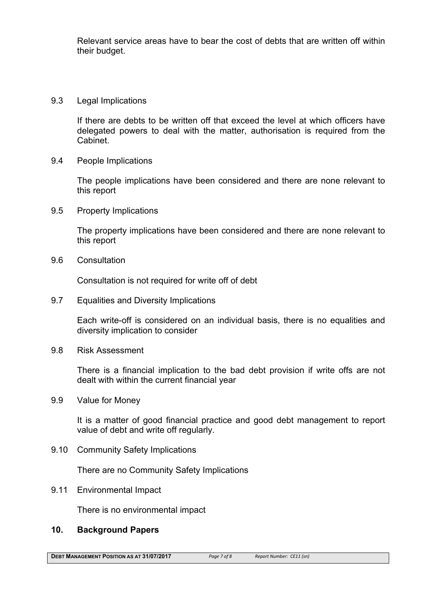Relevant service areas have to bear the cost of debts that are written off within their budget.

## 9.3 Legal Implications

If there are debts to be written off that exceed the level at which officers have delegated powers to deal with the matter, authorisation is required from the Cabinet.

9.4 People Implications

The people implications have been considered and there are none relevant to this report

9.5 Property Implications

The property implications have been considered and there are none relevant to this report

9.6 Consultation

Consultation is not required for write off of debt

9.7 Equalities and Diversity Implications

Each write-off is considered on an individual basis, there is no equalities and diversity implication to consider

9.8 Risk Assessment

There is a financial implication to the bad debt provision if write offs are not dealt with within the current financial year

9.9 Value for Money

It is a matter of good financial practice and good debt management to report value of debt and write off regularly.

9.10 Community Safety Implications

There are no Community Safety Implications

9.11 Environmental Impact

There is no environmental impact

## **10. Background Papers**

**DEBT MANAGEMENT POSITION AS AT 31/07/2017** *Page 7 of 8 Report Number: CE11 (sn)*